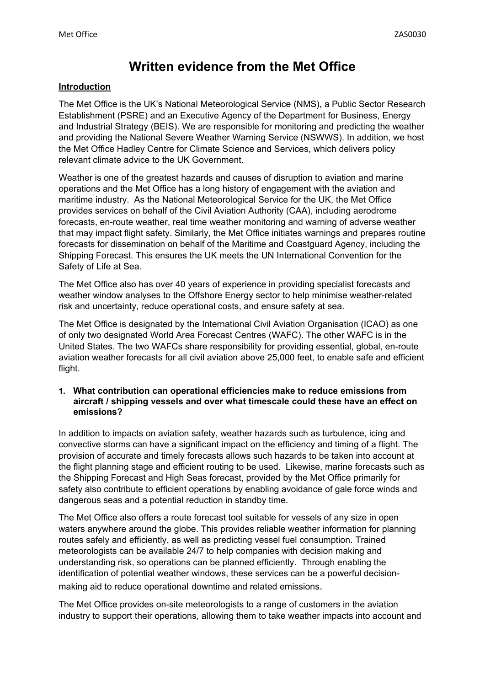# **Written evidence from the Met Office**

### **Introduction**

The Met Office is the UK's National Meteorological Service (NMS), a Public Sector Research Establishment (PSRE) and an Executive Agency of the Department for Business, Energy and Industrial Strategy (BEIS). We are responsible for monitoring and predicting the weather and providing the National Severe Weather Warning Service (NSWWS). In addition, we host the Met Office Hadley Centre for Climate Science and Services, which delivers policy relevant climate advice to the UK Government.

Weather is one of the greatest hazards and causes of disruption to aviation and marine operations and the Met Office has a long history of engagement with the aviation and maritime industry. As the National Meteorological Service for the UK, the Met Office provides services on behalf of the Civil Aviation Authority (CAA), including aerodrome forecasts, en-route weather, real time weather monitoring and warning of adverse weather that may impact flight safety. Similarly, the Met Office initiates warnings and prepares routine forecasts for dissemination on behalf of the Maritime and Coastguard Agency, including the Shipping Forecast. This ensures the UK meets the UN International Convention for the Safety of Life at Sea.

The Met Office also has over 40 years of experience in providing specialist forecasts and weather window analyses to the Offshore Energy sector to help minimise weather-related risk and uncertainty, reduce operational costs, and ensure safety at sea.

The Met Office is designated by the International Civil Aviation Organisation (ICAO) as one of only two designated World Area Forecast Centres (WAFC). The other WAFC is in the United States. The two WAFCs share responsibility for providing essential, global, en-route aviation weather forecasts for all civil aviation above 25,000 feet, to enable safe and efficient flight.

# **1. What contribution can operational efficiencies make to reduce emissions from aircraft / shipping vessels and over what timescale could these have an effect on emissions?**

In addition to impacts on aviation safety, weather hazards such as turbulence, icing and convective storms can have a significant impact on the efficiency and timing of a flight. The provision of accurate and timely forecasts allows such hazards to be taken into account at the flight planning stage and efficient routing to be used. Likewise, marine forecasts such as the Shipping Forecast and High Seas forecast, provided by the Met Office primarily for safety also contribute to efficient operations by enabling avoidance of gale force winds and dangerous seas and a potential reduction in standby time.

The Met Office also offers a route forecast tool suitable for vessels of any size in open waters anywhere around the globe. This provides reliable weather information for planning routes safely and efficiently, as well as predicting vessel fuel consumption. Trained meteorologists can be available 24/7 to help companies with decision making and understanding risk, so operations can be planned efficiently. Through enabling the identification of potential weather windows, these services can be a powerful decisionmaking aid to reduce operational downtime and related emissions.

The Met Office provides on-site meteorologists to a range of customers in the aviation industry to support their operations, allowing them to take weather impacts into account and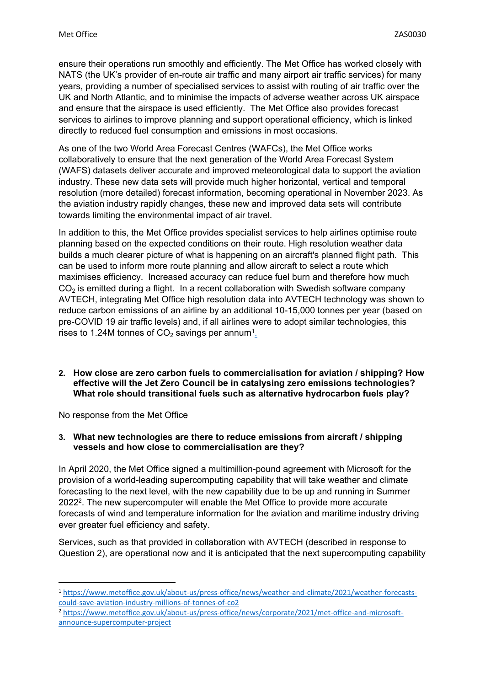ensure their operations run smoothly and efficiently. The Met Office has worked closely with NATS (the UK's provider of en-route air traffic and many airport air traffic services) for many years, providing a number of specialised services to assist with routing of air traffic over the UK and North Atlantic, and to minimise the impacts of adverse weather across UK airspace and ensure that the airspace is used efficiently. The Met Office also provides forecast services to airlines to improve planning and support operational efficiency, which is linked directly to reduced fuel consumption and emissions in most occasions.

As one of the two [World](https://www.metoffice.gov.uk/services/transport/aviation/regulated/mo-wafc) [Area](https://www.metoffice.gov.uk/services/transport/aviation/regulated/mo-wafc) [Forecast](https://www.metoffice.gov.uk/services/transport/aviation/regulated/mo-wafc) [Centres](https://www.metoffice.gov.uk/services/transport/aviation/regulated/mo-wafc) [\(WAFCs\),](https://www.metoffice.gov.uk/services/transport/aviation/regulated/mo-wafc) the Met Office works collaboratively to ensure that the next generation of the World Area Forecast System (WAFS) datasets deliver accurate and improved meteorological data to support the aviation industry. These new data sets will provide much higher horizontal, vertical and temporal resolution (more detailed) forecast information, becoming operational in November 2023. As the aviation industry rapidly changes, these new and improved data sets will contribute towards limiting the environmental impact of air travel.

In addition to this, the Met Office provides specialist services to help airlines optimise route planning based on the expected conditions on their route. High resolution weather data builds a much clearer picture of what is happening on an aircraft's planned flight path. This can be used to inform more route planning and allow aircraft to select a route which maximises efficiency. Increased accuracy can reduce fuel burn and therefore how much  $CO<sub>2</sub>$  is emitted during a flight. In a recent collaboration with Swedish software company AVTECH, integrating Met Office high resolution data into AVTECH technology was shown to reduce carbon emissions of an airline by an additional 10-15,000 tonnes per year (based on pre-COVID 19 air traffic levels) and, if all airlines were to adopt similar technologies, this rises to 1[.](https://media.uk.norwegian.com/pressreleases/norwegian-continues-to-reduce-emissions-with-upgraded-technology-up-to-200000-tons-per-year-2970557)24M tonnes of  $CO<sub>2</sub>$  savings per annum<sup>1</sup>.

# **2. How close are zero carbon fuels to commercialisation for aviation / shipping? How effective will the Jet Zero Council be in catalysing zero emissions technologies? What role should transitional fuels such as alternative hydrocarbon fuels play?**

No response from the Met Office

### **3. What new technologies are there to reduce emissions from aircraft / shipping vessels and how close to commercialisation are they?**

In April 2020, the Met Office signed a multimillion-pound agreement with Microsoft for the provision of a world-leading supercomputing capability that will take weather and climate forecasting to the next level, with the new capability due to be up and running in Summer 2022<sup>2</sup>. The new supercomputer will enable the Met Office to provide more accurate forecasts of wind and temperature information for the aviation and maritime industry driving ever greater fuel efficiency and safety.

Services, such as that provided in collaboration with AVTECH (described in response to Question 2), are operational now and it is anticipated that the next supercomputing capability

<sup>2</sup> [https://www.metoffice.gov.uk/about-us/press-office/news/corporate/2021/met-office-and-microsoft](https://www.metoffice.gov.uk/about-us/press-office/news/corporate/2021/met-office-and-microsoft-announce-supercomputer-project)[announce-supercomputer-project](https://www.metoffice.gov.uk/about-us/press-office/news/corporate/2021/met-office-and-microsoft-announce-supercomputer-project)

<sup>1</sup> [https://www.metoffice.gov.uk/about-us/press-office/news/weather-and-climate/2021/weather-forecasts](https://www.metoffice.gov.uk/about-us/press-office/news/weather-and-climate/2021/weather-forecasts-could-save-aviation-industry-millions-of-tonnes-of-co2)[could-save-aviation-industry-millions-of-tonnes-of-co2](https://www.metoffice.gov.uk/about-us/press-office/news/weather-and-climate/2021/weather-forecasts-could-save-aviation-industry-millions-of-tonnes-of-co2)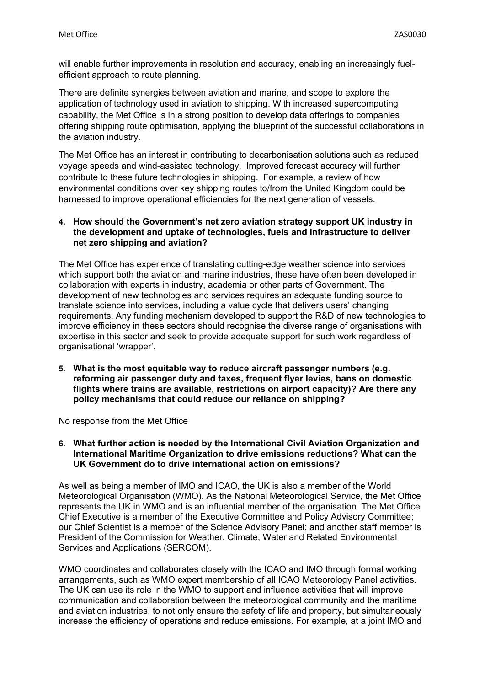will enable further improvements in resolution and accuracy, enabling an increasingly fuelefficient approach to route planning.

There are definite synergies between aviation and marine, and scope to explore the application of technology used in aviation to shipping. With increased supercomputing capability, the Met Office is in a strong position to develop data offerings to companies offering shipping route optimisation, applying the blueprint of the successful collaborations in the aviation industry.

The Met Office has an interest in contributing to decarbonisation solutions such as reduced voyage speeds and wind-assisted technology. Improved forecast accuracy will further contribute to these future technologies in shipping. For example, a review of how environmental conditions over key shipping routes to/from the United Kingdom could be harnessed to improve operational efficiencies for the next generation of vessels.

# **4. How should the Government's net zero aviation strategy support UK industry in the development and uptake of technologies, fuels and infrastructure to deliver net zero shipping and aviation?**

The Met Office has experience of translating cutting-edge weather science into services which support both the aviation and marine industries, these have often been developed in collaboration with experts in industry, academia or other parts of Government. The development of new technologies and services requires an adequate funding source to translate science into services, including a value cycle that delivers users' changing requirements. Any funding mechanism developed to support the R&D of new technologies to improve efficiency in these sectors should recognise the diverse range of organisations with expertise in this sector and seek to provide adequate support for such work regardless of organisational 'wrapper'.

**5. What is the most equitable way to reduce aircraft passenger numbers (e.g. reforming air passenger duty and taxes, frequent flyer levies, bans on domestic flights where trains are available, restrictions on airport capacity)? Are there any policy mechanisms that could reduce our reliance on shipping?**

No response from the Met Office

**6. What further action is needed by the International Civil Aviation Organization and International Maritime Organization to drive emissions reductions? What can the UK Government do to drive international action on emissions?**

As well as being a member of IMO and ICAO, the UK is also a member of the World Meteorological Organisation (WMO). As the National Meteorological Service, the Met Office represents the UK in WMO and is an influential member of the organisation. The Met Office Chief Executive is a member of the Executive Committee and Policy Advisory Committee; our Chief Scientist is a member of the Science Advisory Panel; and another staff member is President of the Commission for Weather, Climate, Water and Related Environmental Services and Applications (SERCOM).

WMO coordinates and collaborates closely with the ICAO and IMO through formal working arrangements, such as WMO expert membership of all ICAO Meteorology Panel activities. The UK can use its role in the WMO to support and influence activities that will improve communication and collaboration between the meteorological community and the maritime and aviation industries, to not only ensure the safety of life and property, but simultaneously increase the efficiency of operations and reduce emissions. For example, at a joint IMO and